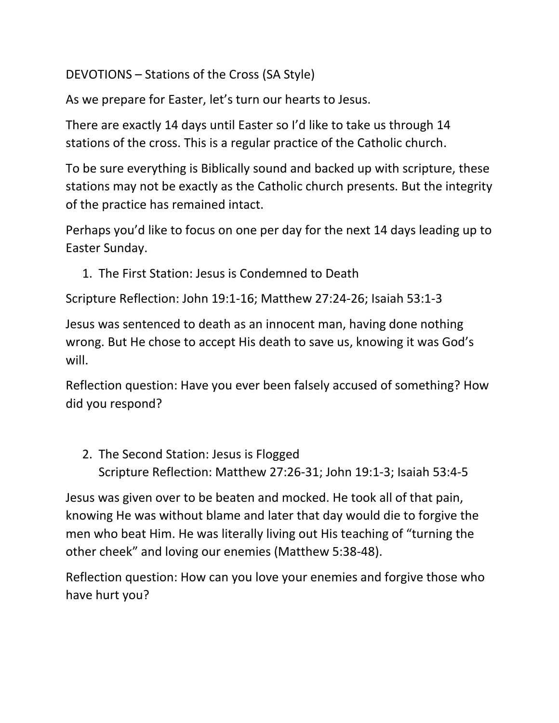DEVOTIONS – Stations of the Cross (SA Style)

As we prepare for Easter, let's turn our hearts to Jesus.

There are exactly 14 days until Easter so I'd like to take us through 14 stations of the cross. This is a regular practice of the Catholic church.

To be sure everything is Biblically sound and backed up with scripture, these stations may not be exactly as the Catholic church presents. But the integrity of the practice has remained intact.

Perhaps you'd like to focus on one per day for the next 14 days leading up to Easter Sunday.

1. The First Station: Jesus is Condemned to Death

Scripture Reflection: John 19:1-16; Matthew 27:24-26; Isaiah 53:1-3

Jesus was sentenced to death as an innocent man, having done nothing wrong. But He chose to accept His death to save us, knowing it was God's will.

Reflection question: Have you ever been falsely accused of something? How did you respond?

2. The Second Station: Jesus is Flogged Scripture Reflection: Matthew 27:26-31; John 19:1-3; Isaiah 53:4-5

Jesus was given over to be beaten and mocked. He took all of that pain, knowing He was without blame and later that day would die to forgive the men who beat Him. He was literally living out His teaching of "turning the other cheek" and loving our enemies (Matthew 5:38-48).

Reflection question: How can you love your enemies and forgive those who have hurt you?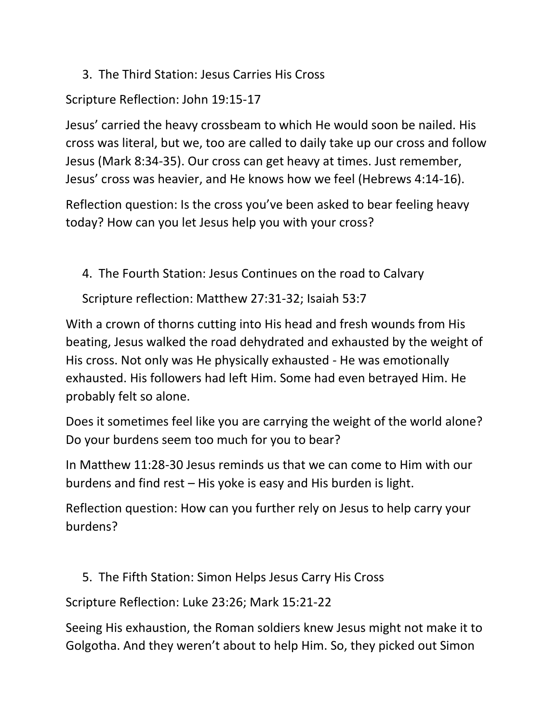3. The Third Station: Jesus Carries His Cross

## Scripture Reflection: John 19:15-17

Jesus' carried the heavy crossbeam to which He would soon be nailed. His cross was literal, but we, too are called to daily take up our cross and follow Jesus (Mark 8:34-35). Our cross can get heavy at times. Just remember, Jesus' cross was heavier, and He knows how we feel (Hebrews 4:14-16).

Reflection question: Is the cross you've been asked to bear feeling heavy today? How can you let Jesus help you with your cross?

4. The Fourth Station: Jesus Continues on the road to Calvary

Scripture reflection: Matthew 27:31-32; Isaiah 53:7

With a crown of thorns cutting into His head and fresh wounds from His beating, Jesus walked the road dehydrated and exhausted by the weight of His cross. Not only was He physically exhausted - He was emotionally exhausted. His followers had left Him. Some had even betrayed Him. He probably felt so alone.

Does it sometimes feel like you are carrying the weight of the world alone? Do your burdens seem too much for you to bear?

In Matthew 11:28-30 Jesus reminds us that we can come to Him with our burdens and find rest – His yoke is easy and His burden is light.

Reflection question: How can you further rely on Jesus to help carry your burdens?

5. The Fifth Station: Simon Helps Jesus Carry His Cross

Scripture Reflection: Luke 23:26; Mark 15:21-22

Seeing His exhaustion, the Roman soldiers knew Jesus might not make it to Golgotha. And they weren't about to help Him. So, they picked out Simon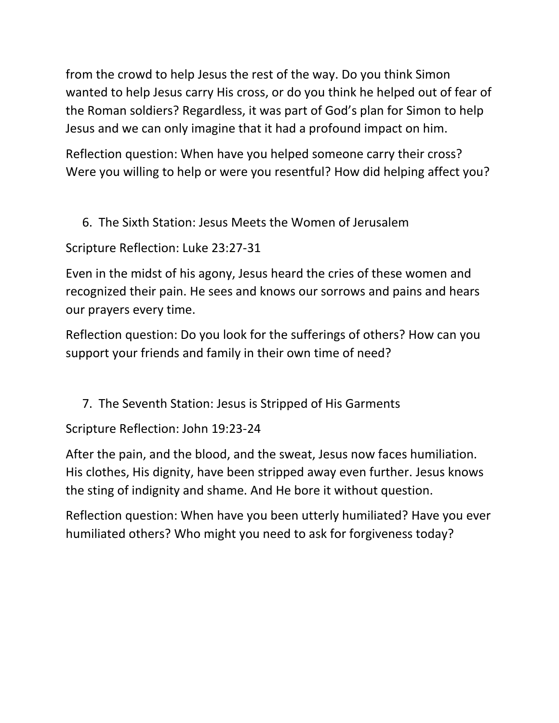from the crowd to help Jesus the rest of the way. Do you think Simon wanted to help Jesus carry His cross, or do you think he helped out of fear of the Roman soldiers? Regardless, it was part of God's plan for Simon to help Jesus and we can only imagine that it had a profound impact on him.

Reflection question: When have you helped someone carry their cross? Were you willing to help or were you resentful? How did helping affect you?

6. The Sixth Station: Jesus Meets the Women of Jerusalem

Scripture Reflection: Luke 23:27-31

Even in the midst of his agony, Jesus heard the cries of these women and recognized their pain. He sees and knows our sorrows and pains and hears our prayers every time.

Reflection question: Do you look for the sufferings of others? How can you support your friends and family in their own time of need?

7. The Seventh Station: Jesus is Stripped of His Garments

Scripture Reflection: John 19:23-24

After the pain, and the blood, and the sweat, Jesus now faces humiliation. His clothes, His dignity, have been stripped away even further. Jesus knows the sting of indignity and shame. And He bore it without question.

Reflection question: When have you been utterly humiliated? Have you ever humiliated others? Who might you need to ask for forgiveness today?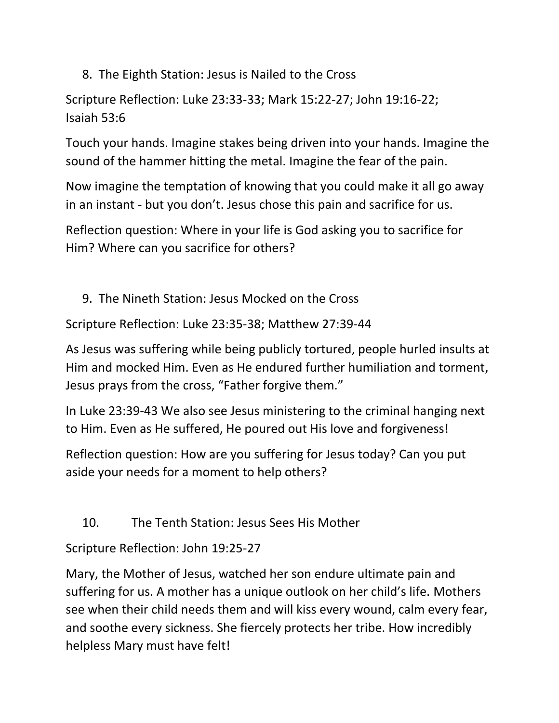8. The Eighth Station: Jesus is Nailed to the Cross

Scripture Reflection: Luke 23:33-33; Mark 15:22-27; John 19:16-22; Isaiah 53:6

Touch your hands. Imagine stakes being driven into your hands. Imagine the sound of the hammer hitting the metal. Imagine the fear of the pain.

Now imagine the temptation of knowing that you could make it all go away in an instant - but you don't. Jesus chose this pain and sacrifice for us.

Reflection question: Where in your life is God asking you to sacrifice for Him? Where can you sacrifice for others?

9. The Nineth Station: Jesus Mocked on the Cross

Scripture Reflection: Luke 23:35-38; Matthew 27:39-44

As Jesus was suffering while being publicly tortured, people hurled insults at Him and mocked Him. Even as He endured further humiliation and torment, Jesus prays from the cross, "Father forgive them."

In Luke 23:39-43 We also see Jesus ministering to the criminal hanging next to Him. Even as He suffered, He poured out His love and forgiveness!

Reflection question: How are you suffering for Jesus today? Can you put aside your needs for a moment to help others?

10. The Tenth Station: Jesus Sees His Mother

Scripture Reflection: John 19:25-27

Mary, the Mother of Jesus, watched her son endure ultimate pain and suffering for us. A mother has a unique outlook on her child's life. Mothers see when their child needs them and will kiss every wound, calm every fear, and soothe every sickness. She fiercely protects her tribe. How incredibly helpless Mary must have felt!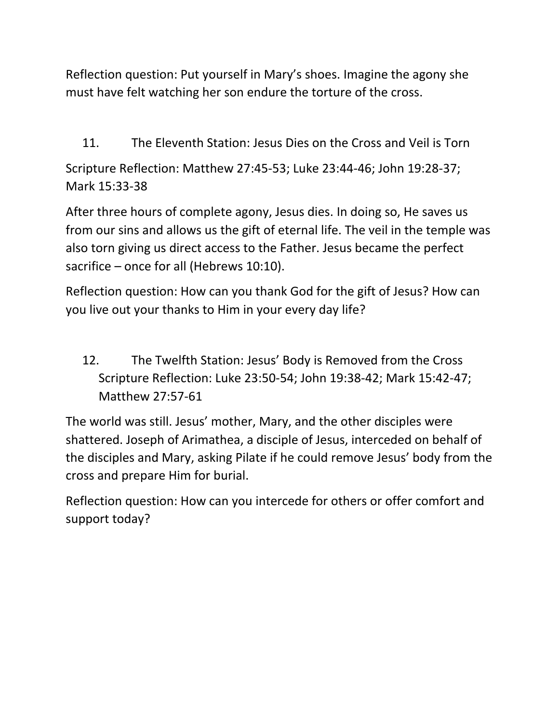Reflection question: Put yourself in Mary's shoes. Imagine the agony she must have felt watching her son endure the torture of the cross.

11. The Eleventh Station: Jesus Dies on the Cross and Veil is Torn

Scripture Reflection: Matthew 27:45-53; Luke 23:44-46; John 19:28-37; Mark 15:33-38

After three hours of complete agony, Jesus dies. In doing so, He saves us from our sins and allows us the gift of eternal life. The veil in the temple was also torn giving us direct access to the Father. Jesus became the perfect sacrifice – once for all (Hebrews 10:10).

Reflection question: How can you thank God for the gift of Jesus? How can you live out your thanks to Him in your every day life?

12. The Twelfth Station: Jesus' Body is Removed from the Cross Scripture Reflection: Luke 23:50-54; John 19:38-42; Mark 15:42-47; Matthew 27:57-61

The world was still. Jesus' mother, Mary, and the other disciples were shattered. Joseph of Arimathea, a disciple of Jesus, interceded on behalf of the disciples and Mary, asking Pilate if he could remove Jesus' body from the cross and prepare Him for burial.

Reflection question: How can you intercede for others or offer comfort and support today?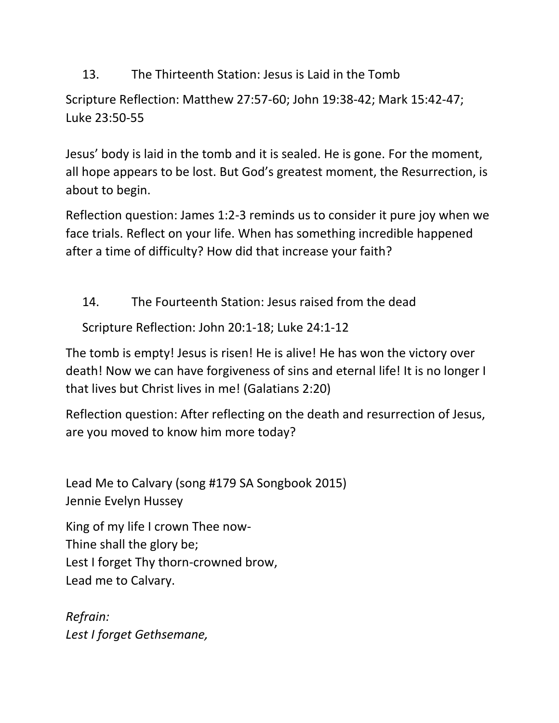13. The Thirteenth Station: Jesus is Laid in the Tomb

Scripture Reflection: Matthew 27:57-60; John 19:38-42; Mark 15:42-47; Luke 23:50-55

Jesus' body is laid in the tomb and it is sealed. He is gone. For the moment, all hope appears to be lost. But God's greatest moment, the Resurrection, is about to begin.

Reflection question: James 1:2-3 reminds us to consider it pure joy when we face trials. Reflect on your life. When has something incredible happened after a time of difficulty? How did that increase your faith?

14. The Fourteenth Station: Jesus raised from the dead

Scripture Reflection: John 20:1-18; Luke 24:1-12

The tomb is empty! Jesus is risen! He is alive! He has won the victory over death! Now we can have forgiveness of sins and eternal life! It is no longer I that lives but Christ lives in me! (Galatians 2:20)

Reflection question: After reflecting on the death and resurrection of Jesus, are you moved to know him more today?

Lead Me to Calvary (song #179 SA Songbook 2015) Jennie Evelyn Hussey

King of my life I crown Thee now-Thine shall the glory be; Lest I forget Thy thorn-crowned brow, Lead me to Calvary.

*Refrain: Lest I forget Gethsemane,*